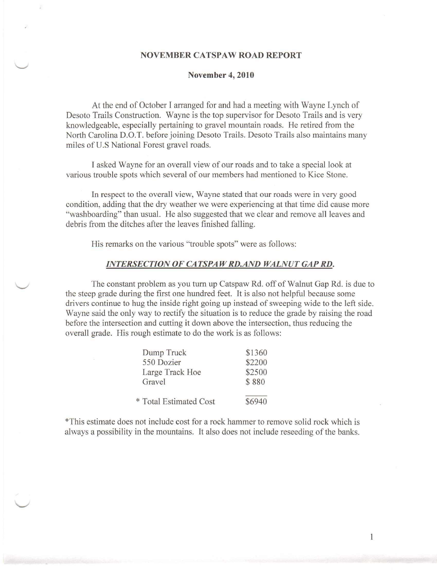### **NOVEMBER CATSP AW ROAD REPORT**

### **November 4,2010**

At the end of October I arranged for and had a meeting with Wayne Lynch of Desoto Trails Construction. Wayne *is* the top supervisor for Desoto Trails and is very knowledgeable, especially pertaining to gravel mountain roads. He retired from the North Carolina D.O.T. before joining Desoto Trails. Desoto Trails also maintains many miles of U.S National Forest gravel roads.

<sup>T</sup> asked Wayne for an overall view of our roads and to take a special look at various trouble spots which several of our members had mentioned to Kice Stone.

In respect to the overall view, Wayne stated that our roads were in very good condition, adding that the dry weather we were experiencing at that time did cause more "washboarding" than usual. He also suggested that we clear and remove all leaves and debris from the ditches after the leaves finished falling.

His remarks on the various "trouble spots" were as follows:

# *INTERSECTION OF CATSPAW RD.AND WALNUT GAP RD.*

The constant problem as you turn up Catspaw Rd. off of Walnut Gap Rd. is due to the steep grade during the first one hundred feet. It is also not helpful because some drivers continue to hug the inside right going up instead of sweeping wide to the left side. Wayne said the only way to rectify the situation is to reduce the grade by raising the road before the intersection and cutting it down above the intersection, thus reducing the overall grade. His rough estimate to do the work is as follows:

| Dump Truck             | \$1360 |
|------------------------|--------|
| 550 Dozier             | \$2200 |
| Large Track Hoe        | \$2500 |
| Gravel                 | \$880  |
| * Total Estimated Cost | \$6940 |

"This estimate does not include cost for a rock hammer to remove solid rock which is always a possibility in the mountains. It also does not include reseeding of the banks.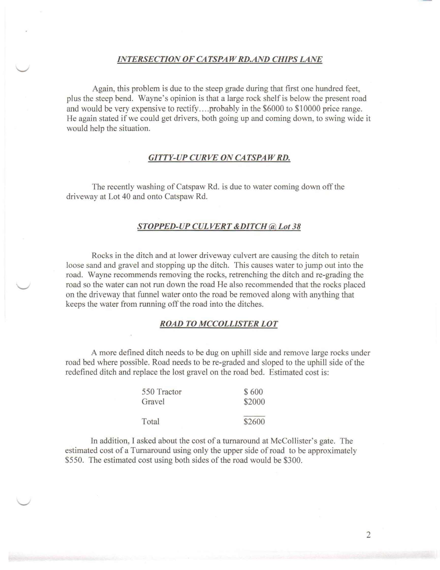### *INTERSECTION OF CATSPAW RD.AND CHIPS LANE*

Again, this problem is due to the steep grade during that first one hundred feet, plus the steep bend. Wayne's opinion is that a large rock shelf is below the present road and would be very expensive to rectify .... probably in the \$6000 to \$10000 price range. He again stated if we could get drivers, both going up and coming down, to swing wide it would help the situation.

## *GITTY-UP CURVE ON CATSPAW RD.*

The recently washing of Catspaw Rd. is due to water coming down off the driveway at Lot 40 and onto Catspaw Rd.

# *STOPPED-UP CUL VERT &DITCH @Lot 38*

Rocks in the ditch and at lower driveway culvert are causing the ditch to retain loose sand and gravel and stopping up the ditch. This causes water to jump out into the road. Wayne recommends removing the rocks, retrenching the ditch and re-grading the road so the water can not run down the road He also recommended that the rocks placed on the driveway that funnel water onto the road be removed along with anything that keeps the water from running off the road into the ditches.

# *ROAD TO MCCOLLISTER LOT*

A more defined ditch needs to be dug on uphill side and remove large rocks under road bed where possible. Road needs to be re-graded and sloped to the uphill side of the redefined ditch and replace the lost gravel on the road bed. Estimated cost is:

| 550 Tractor | \$600  |
|-------------|--------|
| Gravel      | \$2000 |
| Total       | \$2600 |

In addition, I asked about the cost of a turnaround at McCollister's gate. The estimated cost of a Turnaround using only the upper side of road to be approximately \$550. The estimated cost using both sides of the road would be \$300.